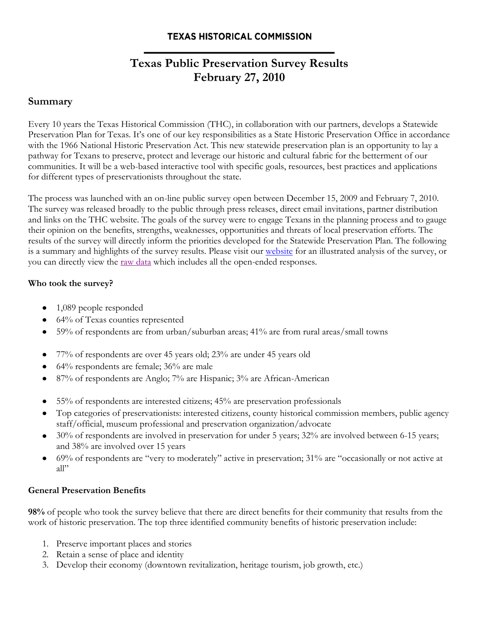# **Texas Public Preservation Survey Results February 27, 2010**

## **Summary**

Every 10 years the Texas Historical Commission (THC), in collaboration with our partners, develops a Statewide Preservation Plan for Texas. It's one of our key responsibilities as a State Historic Preservation Office in accordance with the 1966 National Historic Preservation Act. This new statewide preservation plan is an opportunity to lay a pathway for Texans to preserve, protect and leverage our historic and cultural fabric for the betterment of our communities. It will be a web-based interactive tool with specific goals, resources, best practices and applications for different types of preservationists throughout the state.

The process was launched with an on-line public survey open between December 15, 2009 and February 7, 2010. The survey was released broadly to the public through press releases, direct email invitations, partner distribution and links on the THC website. The goals of the survey were to engage Texans in the planning process and to gauge their opinion on the benefits, strengths, weaknesses, opportunities and threats of local preservation efforts. The results of the survey will directly inform the priorities developed for the Statewide Preservation Plan. The following is a summary and highlights of the survey results. Please visit our [website](http://www.thc.state.tx.us/statewideplan/swpdefault.shtml) for an illustrated analysis of the survey, or you can directly view the [raw data](http://www.surveymonkey.com/sr.aspx?sm=B6PKEUXXR0M6_2f_2fiLqwUO5EM2dv0bwDsWT0kmdDXsiUE_3d) which includes all the open-ended responses.

## **Who took the survey?**

- 1,089 people responded
- 64% of Texas counties represented
- 59% of respondents are from urban/suburban areas; 41% are from rural areas/small towns
- 77% of respondents are over 45 years old; 23% are under 45 years old  $\bullet$
- 64% respondents are female; 36% are male
- 87% of respondents are Anglo; 7% are Hispanic; 3% are African-American
- 55% of respondents are interested citizens; 45% are preservation professionals  $\bullet$
- Top categories of preservationists: interested citizens, county historical commission members, public agency staff/official, museum professional and preservation organization/advocate
- 30% of respondents are involved in preservation for under 5 years; 32% are involved between 6-15 years; and 38% are involved over 15 years
- 69% of respondents are "very to moderately" active in preservation; 31% are "occasionally or not active at  $\bullet$ all"

## **General Preservation Benefits**

**98%** of people who took the survey believe that there are direct benefits for their community that results from the work of historic preservation. The top three identified community benefits of historic preservation include:

- 1. Preserve important places and stories
- 2. Retain a sense of place and identity
- 3. Develop their economy (downtown revitalization, heritage tourism, job growth, etc.)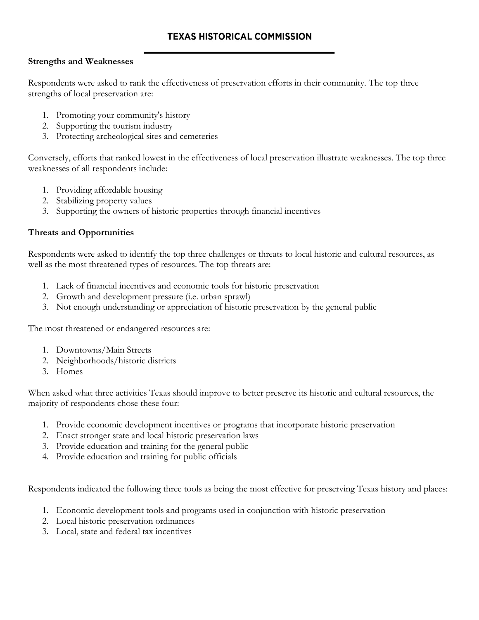#### **Strengths and Weaknesses**

Respondents were asked to rank the effectiveness of preservation efforts in their community. The top three strengths of local preservation are:

- 1. Promoting your community's history
- 2. Supporting the tourism industry
- 3. Protecting archeological sites and cemeteries

Conversely, efforts that ranked lowest in the effectiveness of local preservation illustrate weaknesses. The top three weaknesses of all respondents include:

- 1. Providing affordable housing
- 2. Stabilizing property values
- 3. Supporting the owners of historic properties through financial incentives

## **Threats and Opportunities**

Respondents were asked to identify the top three challenges or threats to local historic and cultural resources, as well as the most threatened types of resources. The top threats are:

- 1. Lack of financial incentives and economic tools for historic preservation
- 2. Growth and development pressure (i.e. urban sprawl)
- 3. Not enough understanding or appreciation of historic preservation by the general public

The most threatened or endangered resources are:

- 1. Downtowns/Main Streets
- 2. Neighborhoods/historic districts
- 3. Homes

When asked what three activities Texas should improve to better preserve its historic and cultural resources, the majority of respondents chose these four:

- 1. Provide economic development incentives or programs that incorporate historic preservation
- 2. Enact stronger state and local historic preservation laws
- 3. Provide education and training for the general public
- 4. Provide education and training for public officials

Respondents indicated the following three tools as being the most effective for preserving Texas history and places:

- 1. Economic development tools and programs used in conjunction with historic preservation
- 2. Local historic preservation ordinances
- 3. Local, state and federal tax incentives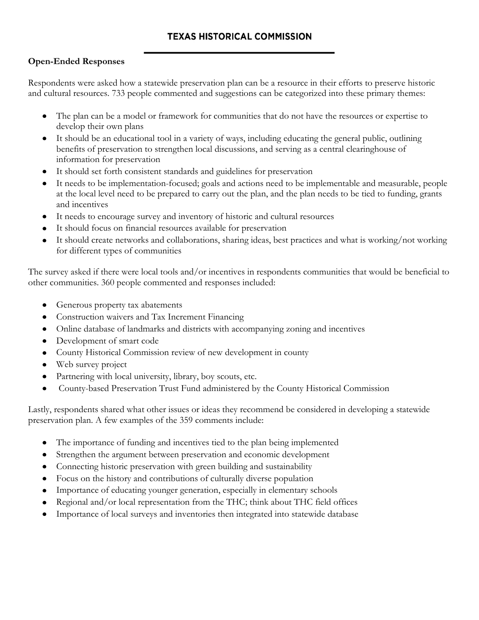## **Open-Ended Responses**

Respondents were asked how a statewide preservation plan can be a resource in their efforts to preserve historic and cultural resources. 733 people commented and suggestions can be categorized into these primary themes:

- The plan can be a model or framework for communities that do not have the resources or expertise to  $\bullet$ develop their own plans
- It should be an educational tool in a variety of ways, including educating the general public, outlining benefits of preservation to strengthen local discussions, and serving as a central clearinghouse of information for preservation
- It should set forth consistent standards and guidelines for preservation  $\bullet$
- It needs to be implementation-focused; goals and actions need to be implementable and measurable, people at the local level need to be prepared to carry out the plan, and the plan needs to be tied to funding, grants and incentives
- It needs to encourage survey and inventory of historic and cultural resources
- It should focus on financial resources available for preservation
- It should create networks and collaborations, sharing ideas, best practices and what is working/not working for different types of communities

The survey asked if there were local tools and/or incentives in respondents communities that would be beneficial to other communities. 360 people commented and responses included:

- Generous property tax abatements  $\bullet$
- Construction waivers and Tax Increment Financing  $\bullet$
- Online database of landmarks and districts with accompanying zoning and incentives
- Development of smart code
- County Historical Commission review of new development in county
- Web survey project
- Partnering with local university, library, boy scouts, etc.  $\bullet$
- County-based Preservation Trust Fund administered by the County Historical Commission

Lastly, respondents shared what other issues or ideas they recommend be considered in developing a statewide preservation plan. A few examples of the 359 comments include:

- The importance of funding and incentives tied to the plan being implemented  $\bullet$
- Strengthen the argument between preservation and economic development
- Connecting historic preservation with green building and sustainability
- Focus on the history and contributions of culturally diverse population  $\bullet$
- Importance of educating younger generation, especially in elementary schools  $\bullet$
- Regional and/or local representation from the THC; think about THC field offices
- Importance of local surveys and inventories then integrated into statewide database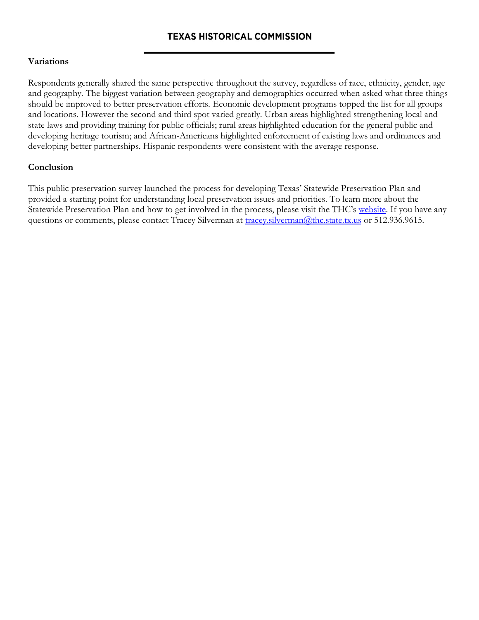#### **Variations**

Respondents generally shared the same perspective throughout the survey, regardless of race, ethnicity, gender, age and geography. The biggest variation between geography and demographics occurred when asked what three things should be improved to better preservation efforts. Economic development programs topped the list for all groups and locations. However the second and third spot varied greatly. Urban areas highlighted strengthening local and state laws and providing training for public officials; rural areas highlighted education for the general public and developing heritage tourism; and African-Americans highlighted enforcement of existing laws and ordinances and developing better partnerships. Hispanic respondents were consistent with the average response.

## **Conclusion**

This public preservation survey launched the process for developing Texas' Statewide Preservation Plan and provided a starting point for understanding local preservation issues and priorities. To learn more about the Statewide Preservation Plan and how to get involved in the process, please visit the THC's [website.](http://www.thc.state.tx.us/statewideplan/swpdefault.shtml) If you have any questions or comments, please contact Tracey Silverman at [tracey.silverman@thc.state.tx.us](mailto:tracey.silverman@thc.state.tx.us) or 512.936.9615.